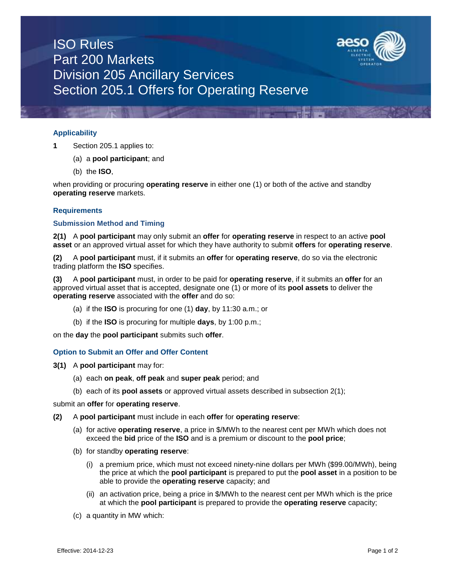

# ISO Rules Part 200 Markets Division 205 Ancillary Services Section 205.1 Offers for Operating Reserve

## **Applicability**

- **1** Section 205.1 applies to:
	- (a) a **pool participant**; and
	- (b) the **ISO**,

when providing or procuring **operating reserve** in either one (1) or both of the active and standby **operating reserve** markets.

## **Requirements**

### **Submission Method and Timing**

**2(1)** A **pool participant** may only submit an **offer** for **operating reserve** in respect to an active **pool asset** or an approved virtual asset for which they have authority to submit **offers** for **operating reserve**.

**(2)** A **pool participant** must, if it submits an **offer** for **operating reserve**, do so via the electronic trading platform the **ISO** specifies.

**(3)** A **pool participant** must, in order to be paid for **operating reserve**, if it submits an **offer** for an approved virtual asset that is accepted, designate one (1) or more of its **pool assets** to deliver the **operating reserve** associated with the **offer** and do so:

- (a) if the **ISO** is procuring for one (1) **day**, by 11:30 a.m.; or
- (b) if the **ISO** is procuring for multiple **days**, by 1:00 p.m.;

on the **day** the **pool participant** submits such **offer**.

### **Option to Submit an Offer and Offer Content**

- **3(1)** A **pool participant** may for:
	- (a) each **on peak**, **off peak** and **super peak** period; and
	- (b) each of its **pool assets** or approved virtual assets described in subsection 2(1);

submit an **offer** for **operating reserve**.

- **(2)** A **pool participant** must include in each **offer** for **operating reserve**:
	- (a) for active **operating reserve**, a price in \$/MWh to the nearest cent per MWh which does not exceed the **bid** price of the **ISO** and is a premium or discount to the **pool price**;
	- (b) for standby **operating reserve**:
		- (i) a premium price, which must not exceed ninety-nine dollars per MWh (\$99.00/MWh), being the price at which the **pool participant** is prepared to put the **pool asset** in a position to be able to provide the **operating reserve** capacity; and
		- (ii) an activation price, being a price in \$/MWh to the nearest cent per MWh which is the price at which the **pool participant** is prepared to provide the **operating reserve** capacity;
	- (c) a quantity in MW which: